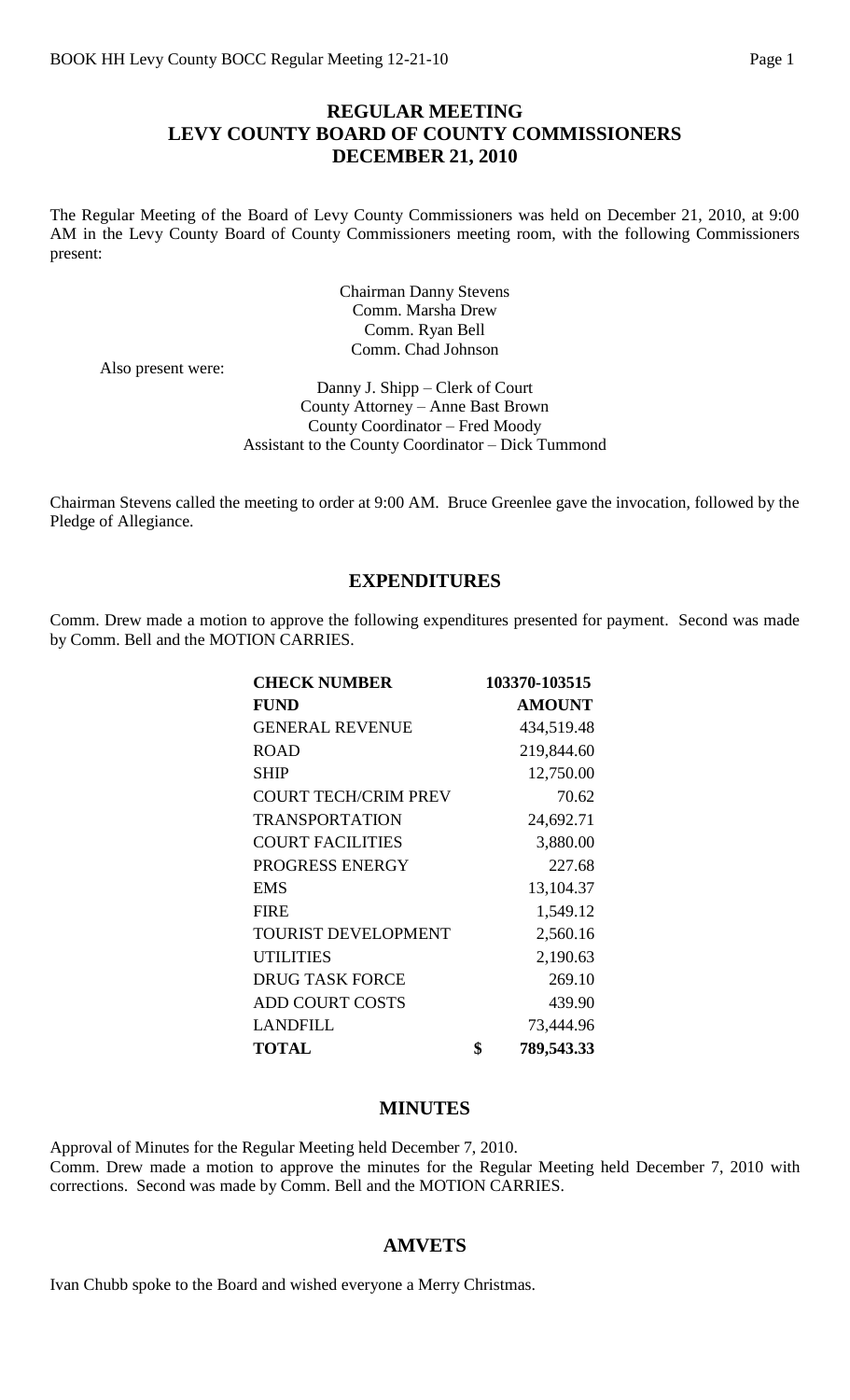## **REGULAR MEETING LEVY COUNTY BOARD OF COUNTY COMMISSIONERS DECEMBER 21, 2010**

The Regular Meeting of the Board of Levy County Commissioners was held on December 21, 2010, at 9:00 AM in the Levy County Board of County Commissioners meeting room, with the following Commissioners present:

> Chairman Danny Stevens Comm. Marsha Drew Comm. Ryan Bell Comm. Chad Johnson

Also present were:

Danny J. Shipp – Clerk of Court County Attorney – Anne Bast Brown County Coordinator – Fred Moody Assistant to the County Coordinator – Dick Tummond

Chairman Stevens called the meeting to order at 9:00 AM. Bruce Greenlee gave the invocation, followed by the Pledge of Allegiance.

### **EXPENDITURES**

Comm. Drew made a motion to approve the following expenditures presented for payment. Second was made by Comm. Bell and the MOTION CARRIES.

| <b>CHECK NUMBER</b>         | 103370-103515    |
|-----------------------------|------------------|
| <b>FUND</b>                 | <b>AMOUNT</b>    |
| <b>GENERAL REVENUE</b>      | 434,519.48       |
| <b>ROAD</b>                 | 219,844.60       |
| <b>SHIP</b>                 | 12,750.00        |
| <b>COURT TECH/CRIM PREV</b> | 70.62            |
| <b>TRANSPORTATION</b>       | 24,692.71        |
| <b>COURT FACILITIES</b>     | 3,880.00         |
| PROGRESS ENERGY             | 227.68           |
| <b>EMS</b>                  | 13,104.37        |
| <b>FIRE</b>                 | 1,549.12         |
| <b>TOURIST DEVELOPMENT</b>  | 2,560.16         |
| <b>UTILITIES</b>            | 2,190.63         |
| <b>DRUG TASK FORCE</b>      | 269.10           |
| <b>ADD COURT COSTS</b>      | 439.90           |
| <b>LANDFILL</b>             | 73,444.96        |
| <b>TOTAL</b>                | \$<br>789,543.33 |

#### **MINUTES**

Approval of Minutes for the Regular Meeting held December 7, 2010. Comm. Drew made a motion to approve the minutes for the Regular Meeting held December 7, 2010 with corrections. Second was made by Comm. Bell and the MOTION CARRIES.

### **AMVETS**

Ivan Chubb spoke to the Board and wished everyone a Merry Christmas.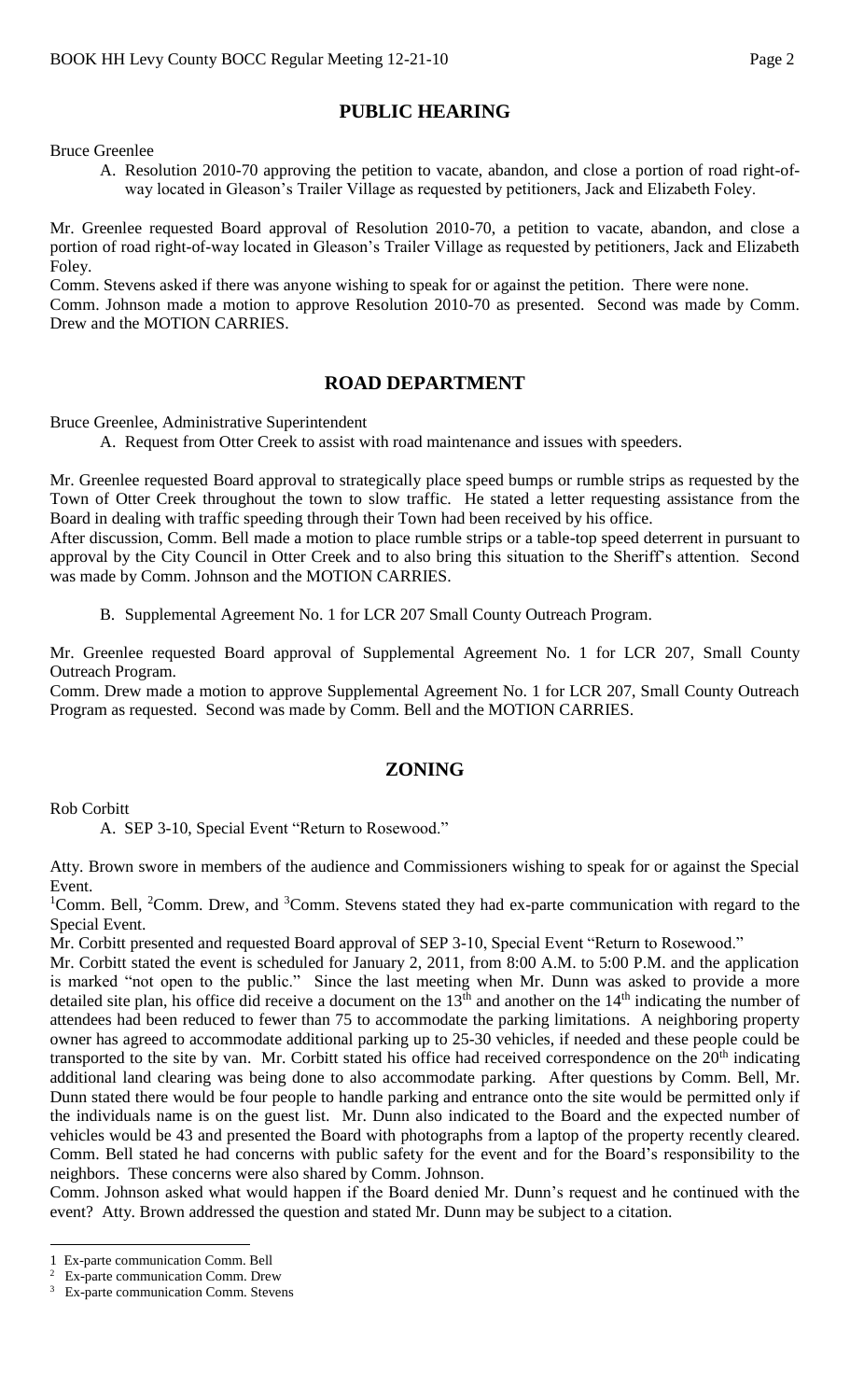# **PUBLIC HEARING**

Bruce Greenlee

A. Resolution 2010-70 approving the petition to vacate, abandon, and close a portion of road right-ofway located in Gleason's Trailer Village as requested by petitioners, Jack and Elizabeth Foley.

Mr. Greenlee requested Board approval of Resolution 2010-70, a petition to vacate, abandon, and close a portion of road right-of-way located in Gleason's Trailer Village as requested by petitioners, Jack and Elizabeth Foley.

Comm. Stevens asked if there was anyone wishing to speak for or against the petition. There were none. Comm. Johnson made a motion to approve Resolution 2010-70 as presented. Second was made by Comm. Drew and the MOTION CARRIES.

## **ROAD DEPARTMENT**

Bruce Greenlee, Administrative Superintendent

A. Request from Otter Creek to assist with road maintenance and issues with speeders.

Mr. Greenlee requested Board approval to strategically place speed bumps or rumble strips as requested by the Town of Otter Creek throughout the town to slow traffic. He stated a letter requesting assistance from the Board in dealing with traffic speeding through their Town had been received by his office.

After discussion, Comm. Bell made a motion to place rumble strips or a table-top speed deterrent in pursuant to approval by the City Council in Otter Creek and to also bring this situation to the Sheriff's attention. Second was made by Comm. Johnson and the MOTION CARRIES.

B. Supplemental Agreement No. 1 for LCR 207 Small County Outreach Program.

Mr. Greenlee requested Board approval of Supplemental Agreement No. 1 for LCR 207, Small County Outreach Program.

Comm. Drew made a motion to approve Supplemental Agreement No. 1 for LCR 207, Small County Outreach Program as requested. Second was made by Comm. Bell and the MOTION CARRIES.

# **ZONING**

Rob Corbitt

A. SEP 3-10, Special Event "Return to Rosewood."

Atty. Brown swore in members of the audience and Commissioners wishing to speak for or against the Special Event.

<sup>1</sup>Comm. Bell, <sup>2</sup>Comm. Drew, and <sup>3</sup>Comm. Stevens stated they had ex-parte communication with regard to the Special Event.

Mr. Corbitt presented and requested Board approval of SEP 3-10, Special Event "Return to Rosewood."

Mr. Corbitt stated the event is scheduled for January 2, 2011, from 8:00 A.M. to 5:00 P.M. and the application is marked "not open to the public." Since the last meeting when Mr. Dunn was asked to provide a more detailed site plan, his office did receive a document on the  $13<sup>th</sup>$  and another on the  $14<sup>th</sup>$  indicating the number of attendees had been reduced to fewer than 75 to accommodate the parking limitations. A neighboring property owner has agreed to accommodate additional parking up to 25-30 vehicles, if needed and these people could be transported to the site by van. Mr. Corbitt stated his office had received correspondence on the  $20<sup>th</sup>$  indicating additional land clearing was being done to also accommodate parking. After questions by Comm. Bell, Mr. Dunn stated there would be four people to handle parking and entrance onto the site would be permitted only if the individuals name is on the guest list. Mr. Dunn also indicated to the Board and the expected number of vehicles would be 43 and presented the Board with photographs from a laptop of the property recently cleared. Comm. Bell stated he had concerns with public safety for the event and for the Board's responsibility to the neighbors. These concerns were also shared by Comm. Johnson.

Comm. Johnson asked what would happen if the Board denied Mr. Dunn's request and he continued with the event? Atty. Brown addressed the question and stated Mr. Dunn may be subject to a citation.

 $\overline{a}$ 

<sup>1</sup> Ex-parte communication Comm. Bell

<sup>&</sup>lt;sup>2</sup> Ex-parte communication Comm. Drew

<sup>&</sup>lt;sup>3</sup> Ex-parte communication Comm. Stevens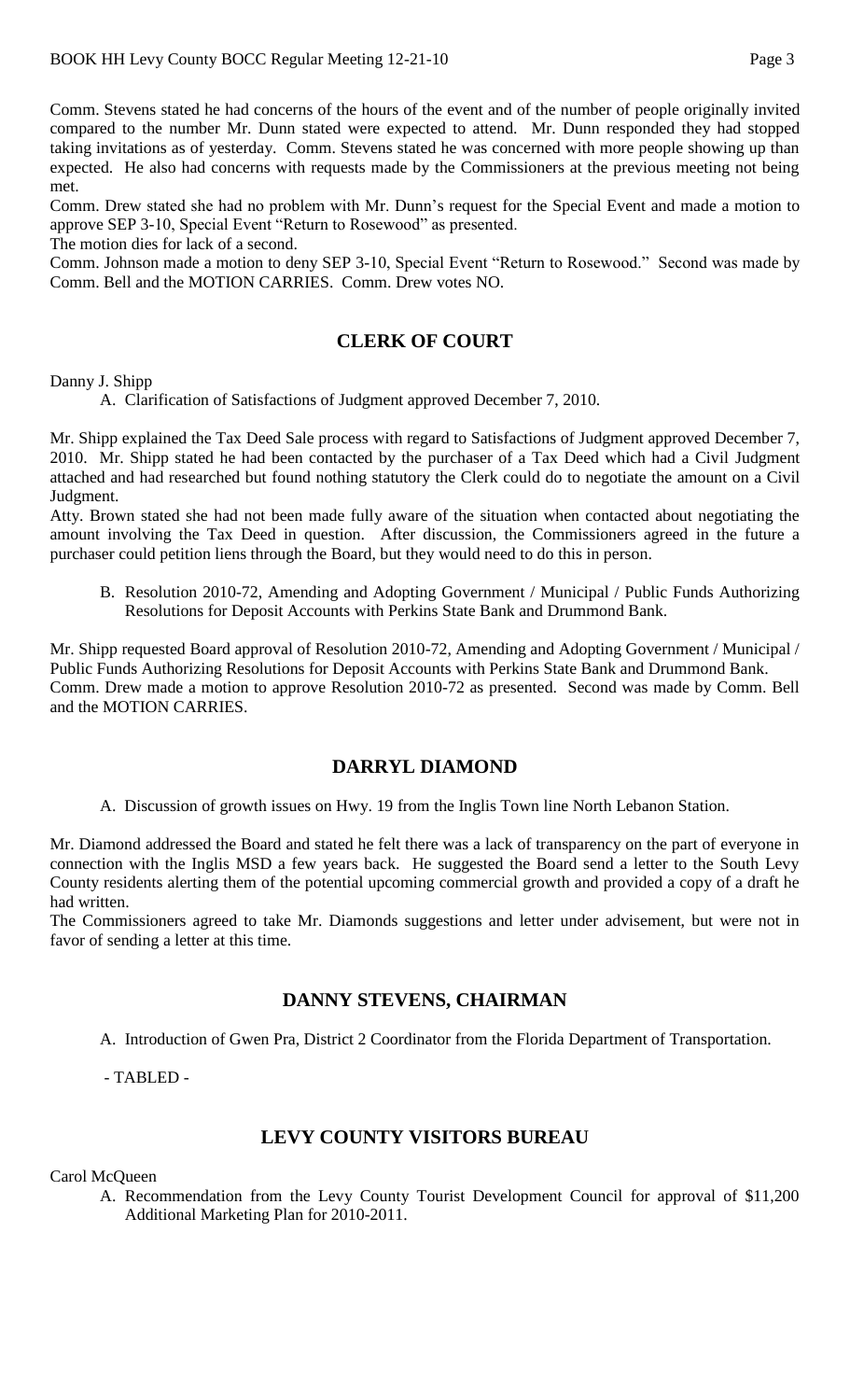Comm. Stevens stated he had concerns of the hours of the event and of the number of people originally invited compared to the number Mr. Dunn stated were expected to attend. Mr. Dunn responded they had stopped taking invitations as of yesterday. Comm. Stevens stated he was concerned with more people showing up than expected. He also had concerns with requests made by the Commissioners at the previous meeting not being met.

Comm. Drew stated she had no problem with Mr. Dunn's request for the Special Event and made a motion to approve SEP 3-10, Special Event "Return to Rosewood" as presented.

The motion dies for lack of a second.

Comm. Johnson made a motion to deny SEP 3-10, Special Event "Return to Rosewood." Second was made by Comm. Bell and the MOTION CARRIES. Comm. Drew votes NO.

## **CLERK OF COURT**

Danny J. Shipp

A. Clarification of Satisfactions of Judgment approved December 7, 2010.

Mr. Shipp explained the Tax Deed Sale process with regard to Satisfactions of Judgment approved December 7, 2010. Mr. Shipp stated he had been contacted by the purchaser of a Tax Deed which had a Civil Judgment attached and had researched but found nothing statutory the Clerk could do to negotiate the amount on a Civil Judgment.

Atty. Brown stated she had not been made fully aware of the situation when contacted about negotiating the amount involving the Tax Deed in question. After discussion, the Commissioners agreed in the future a purchaser could petition liens through the Board, but they would need to do this in person.

B. Resolution 2010-72, Amending and Adopting Government / Municipal / Public Funds Authorizing Resolutions for Deposit Accounts with Perkins State Bank and Drummond Bank.

Mr. Shipp requested Board approval of Resolution 2010-72, Amending and Adopting Government / Municipal / Public Funds Authorizing Resolutions for Deposit Accounts with Perkins State Bank and Drummond Bank. Comm. Drew made a motion to approve Resolution 2010-72 as presented. Second was made by Comm. Bell and the MOTION CARRIES.

### **DARRYL DIAMOND**

A. Discussion of growth issues on Hwy. 19 from the Inglis Town line North Lebanon Station.

Mr. Diamond addressed the Board and stated he felt there was a lack of transparency on the part of everyone in connection with the Inglis MSD a few years back. He suggested the Board send a letter to the South Levy County residents alerting them of the potential upcoming commercial growth and provided a copy of a draft he had written.

The Commissioners agreed to take Mr. Diamonds suggestions and letter under advisement, but were not in favor of sending a letter at this time.

#### **DANNY STEVENS, CHAIRMAN**

A. Introduction of Gwen Pra, District 2 Coordinator from the Florida Department of Transportation.

- TABLED -

### **LEVY COUNTY VISITORS BUREAU**

Carol McQueen

A. Recommendation from the Levy County Tourist Development Council for approval of \$11,200 Additional Marketing Plan for 2010-2011.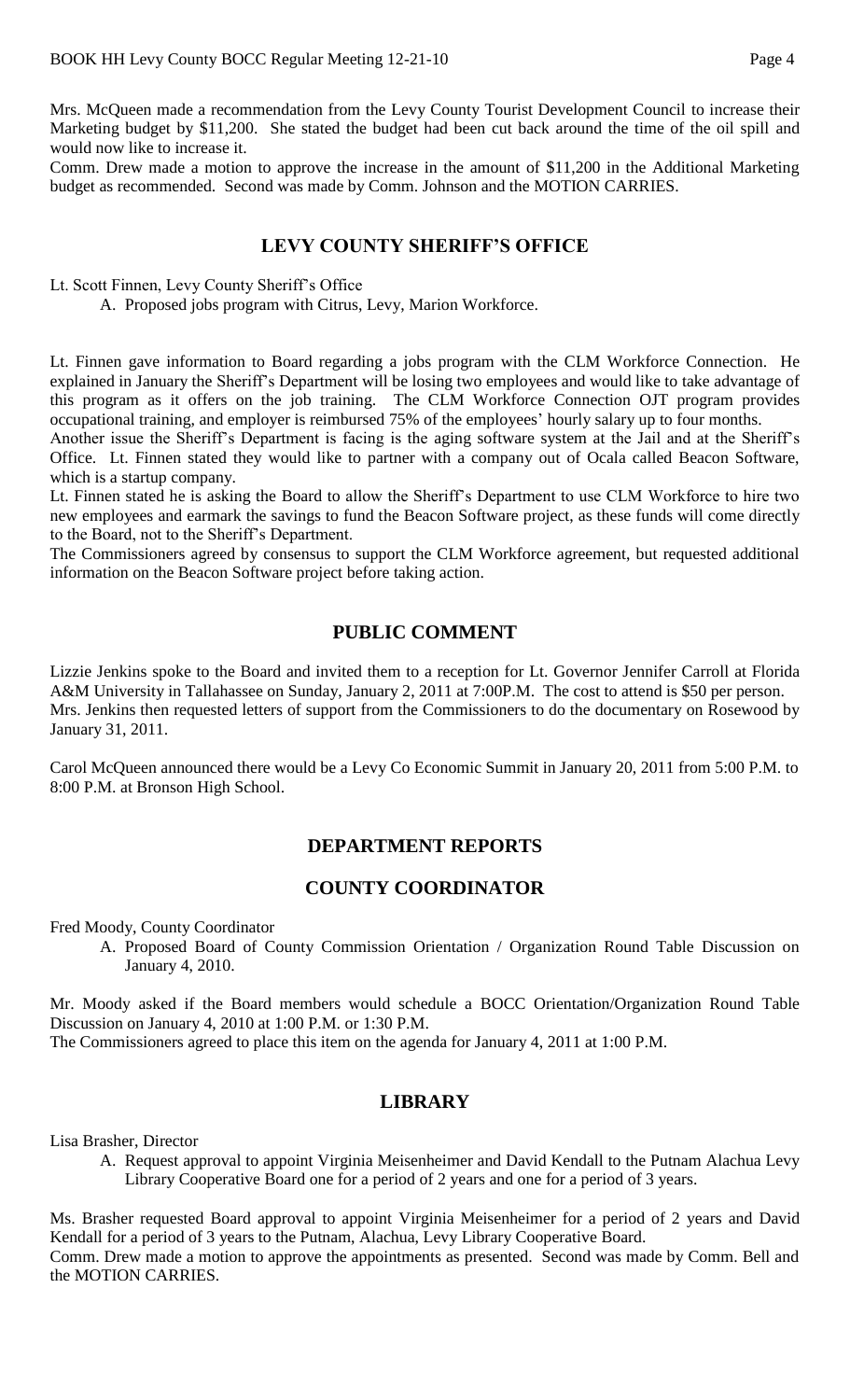Mrs. McQueen made a recommendation from the Levy County Tourist Development Council to increase their Marketing budget by \$11,200. She stated the budget had been cut back around the time of the oil spill and would now like to increase it.

Comm. Drew made a motion to approve the increase in the amount of \$11,200 in the Additional Marketing budget as recommended. Second was made by Comm. Johnson and the MOTION CARRIES.

### **LEVY COUNTY SHERIFF'S OFFICE**

Lt. Scott Finnen, Levy County Sheriff's Office

A. Proposed jobs program with Citrus, Levy, Marion Workforce.

Lt. Finnen gave information to Board regarding a jobs program with the CLM Workforce Connection. He explained in January the Sheriff's Department will be losing two employees and would like to take advantage of this program as it offers on the job training. The CLM Workforce Connection OJT program provides occupational training, and employer is reimbursed 75% of the employees' hourly salary up to four months.

Another issue the Sheriff's Department is facing is the aging software system at the Jail and at the Sheriff's Office. Lt. Finnen stated they would like to partner with a company out of Ocala called Beacon Software, which is a startup company.

Lt. Finnen stated he is asking the Board to allow the Sheriff's Department to use CLM Workforce to hire two new employees and earmark the savings to fund the Beacon Software project, as these funds will come directly to the Board, not to the Sheriff's Department.

The Commissioners agreed by consensus to support the CLM Workforce agreement, but requested additional information on the Beacon Software project before taking action.

# **PUBLIC COMMENT**

Lizzie Jenkins spoke to the Board and invited them to a reception for Lt. Governor Jennifer Carroll at Florida A&M University in Tallahassee on Sunday, January 2, 2011 at 7:00P.M. The cost to attend is \$50 per person. Mrs. Jenkins then requested letters of support from the Commissioners to do the documentary on Rosewood by January 31, 2011.

Carol McQueen announced there would be a Levy Co Economic Summit in January 20, 2011 from 5:00 P.M. to 8:00 P.M. at Bronson High School.

# **DEPARTMENT REPORTS**

# **COUNTY COORDINATOR**

Fred Moody, County Coordinator

A. Proposed Board of County Commission Orientation / Organization Round Table Discussion on January 4, 2010.

Mr. Moody asked if the Board members would schedule a BOCC Orientation/Organization Round Table Discussion on January 4, 2010 at 1:00 P.M. or 1:30 P.M.

The Commissioners agreed to place this item on the agenda for January 4, 2011 at 1:00 P.M.

### **LIBRARY**

Lisa Brasher, Director

A. Request approval to appoint Virginia Meisenheimer and David Kendall to the Putnam Alachua Levy Library Cooperative Board one for a period of 2 years and one for a period of 3 years.

Ms. Brasher requested Board approval to appoint Virginia Meisenheimer for a period of 2 years and David Kendall for a period of 3 years to the Putnam, Alachua, Levy Library Cooperative Board. Comm. Drew made a motion to approve the appointments as presented. Second was made by Comm. Bell and the MOTION CARRIES.